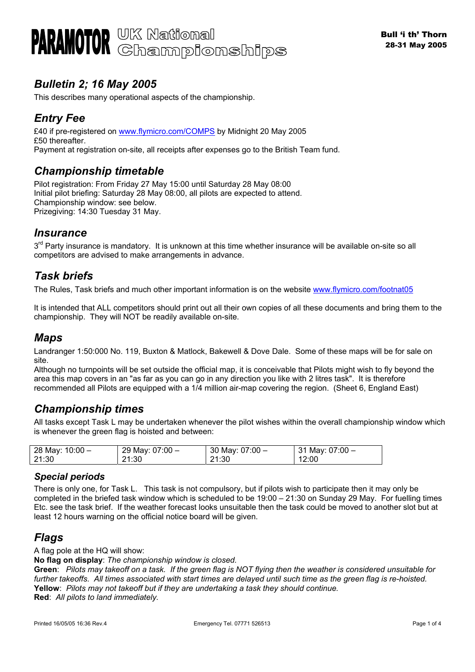# *Bulletin 2; 16 May 2005*

This describes many operational aspects of the championship.

# *Entry Fee*

£40 if pre-registered on [www.flymicro.com/COMPS](http://www.flymicro.com/COMPS) by Midnight 20 May 2005 £50 thereafter. Payment at registration on-site, all receipts after expenses go to the British Team fund.

## *Championship timetable*

Pilot registration: From Friday 27 May 15:00 until Saturday 28 May 08:00 Initial pilot briefing: Saturday 28 May 08:00, all pilots are expected to attend. Championship window: see below. Prizegiving: 14:30 Tuesday 31 May.

## *Insurance*

3<sup>rd</sup> Party insurance is mandatory. It is unknown at this time whether insurance will be available on-site so all competitors are advised to make arrangements in advance.

## *Task briefs*

The Rules, Task briefs and much other important information is on the website [www.flymicro.com/footnat05](http://www.flymicro.com/footnat05)

It is intended that ALL competitors should print out all their own copies of all these documents and bring them to the championship. They will NOT be readily available on-site.

## *Maps*

Landranger 1:50:000 No. 119, Buxton & Matlock, Bakewell & Dove Dale. Some of these maps will be for sale on site.

Although no turnpoints will be set outside the official map, it is conceivable that Pilots might wish to fly beyond the area this map covers in an "as far as you can go in any direction you like with 2 litres task". It is therefore recommended all Pilots are equipped with a 1/4 million air-map covering the region. (Sheet 6, England East)

# *Championship times*

All tasks except Task L may be undertaken whenever the pilot wishes within the overall championship window which is whenever the green flag is hoisted and between:

| 28 May: 10:00 - | 29 May: 07:00 - | 30 May: $07:00 -$ | $\frac{1}{2}$ 31 May: 07:00 $-$ |
|-----------------|-----------------|-------------------|---------------------------------|
| 21:30           | 21:30           | 21:30             | 12:00                           |

### *Special periods*

There is only one, for Task L. This task is not compulsory, but if pilots wish to participate then it may only be completed in the briefed task window which is scheduled to be 19:00 – 21:30 on Sunday 29 May. For fuelling times Etc. see the task brief. If the weather forecast looks unsuitable then the task could be moved to another slot but at least 12 hours warning on the official notice board will be given.

## *Flags*

A flag pole at the HQ will show:

**No flag on display**: *The championship window is closed.* 

**Green**: *Pilots may takeoff on a task. If the green flag is NOT flying then the weather is considered unsuitable for further takeoffs. All times associated with start times are delayed until such time as the green flag is re-hoisted.*  **Yellow**: *Pilots may not takeoff but if they are undertaking a task they should continue.*  **Red**: *All pilots to land immediately.*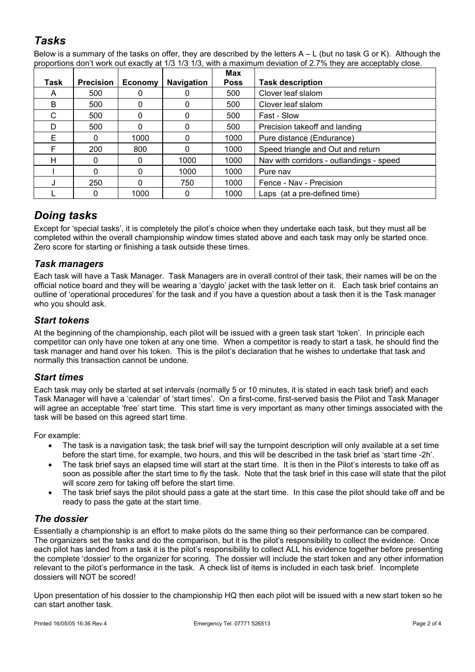# *Tasks*

Below is a summary of the tasks on offer, they are described by the letters  $A - L$  (but no task G or K). Although the proportions don't work out exactly at 1/3 1/3 1/3, with a maximum deviation of 2.7% they are acceptably close.

| Task | <b>Precision</b> | Economy | <b>Navigation</b> | Max<br><b>Poss</b> | <b>Task description</b>                  |
|------|------------------|---------|-------------------|--------------------|------------------------------------------|
| A    | 500              |         | 0                 | 500                | Clover leaf slalom                       |
| B    | 500              |         | 0                 | 500                | Clover leaf slalom                       |
| C.   | 500              |         | $\Omega$          | 500                | Fast - Slow                              |
| D    | 500              |         | 0                 | 500                | Precision takeoff and landing            |
| E    | 0                | 1000    | 0                 | 1000               | Pure distance (Endurance)                |
| F    | 200              | 800     | $\Omega$          | 1000               | Speed triangle and Out and return        |
| н    | 0                |         | 1000              | 1000               | Nav with corridors - outlandings - speed |
|      | 0                |         | 1000              | 1000               | Pure nav                                 |
|      | 250              |         | 750               | 1000               | Fence - Nav - Precision                  |
|      |                  | 1000    | 0                 | 1000               | Laps (at a pre-defined time)             |

# *Doing tasks*

Except for 'special tasks', it is completely the pilot's choice when they undertake each task, but they must all be completed within the overall championship window times stated above and each task may only be started once. Zero score for starting or finishing a task outside these times.

## *Task managers*

Each task will have a Task Manager. Task Managers are in overall control of their task, their names will be on the official notice board and they will be wearing a 'dayglo' jacket with the task letter on it. Each task brief contains an outline of 'operational procedures' for the task and if you have a question about a task then it is the Task manager who you should ask.

## *Start tokens*

At the beginning of the championship, each pilot will be issued with a green task start 'token'. In principle each competitor can only have one token at any one time. When a competitor is ready to start a task, he should find the task manager and hand over his token. This is the pilot's declaration that he wishes to undertake that task and normally this transaction cannot be undone.

## *Start times*

Each task may only be started at set intervals (normally 5 or 10 minutes, it is stated in each task brief) and each Task Manager will have a 'calendar' of 'start times'. On a first-come, first-served basis the Pilot and Task Manager will agree an acceptable 'free' start time. This start time is very important as many other timings associated with the task will be based on this agreed start time.

For example:

- The task is a navigation task; the task brief will say the turnpoint description will only available at a set time before the start time, for example, two hours, and this will be described in the task brief as 'start time -2h'.
- The task brief says an elapsed time will start at the start time. It is then in the Pilot's interests to take off as soon as possible after the start time to fly the task. Note that the task brief in this case will state that the pilot will score zero for taking off before the start time.
- The task brief says the pilot should pass a gate at the start time. In this case the pilot should take off and be ready to pass the gate at the start time.

## *The dossier*

Essentially a championship is an effort to make pilots do the same thing so their performance can be compared. The organizers set the tasks and do the comparison, but it is the pilot's responsibility to collect the evidence. Once each pilot has landed from a task it is the pilot's responsibility to collect ALL his evidence together before presenting the complete 'dossier' to the organizer for scoring. The dossier will include the start token and any other information relevant to the pilot's performance in the task. A check list of items is included in each task brief. Incomplete dossiers will NOT be scored!

Upon presentation of his dossier to the championship HQ then each pilot will be issued with a new start token so he can start another task.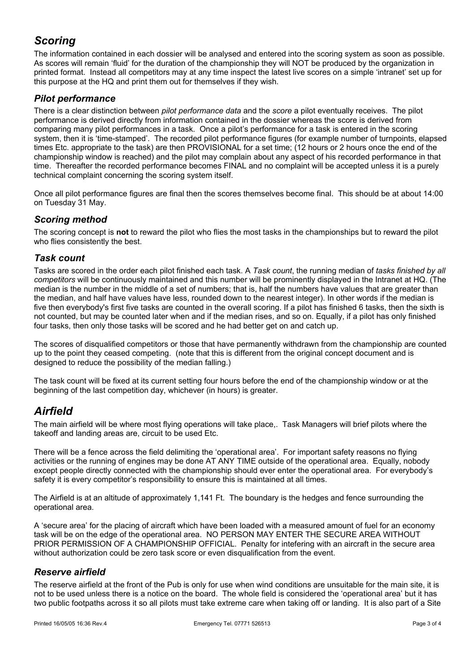# *Scoring*

The information contained in each dossier will be analysed and entered into the scoring system as soon as possible. As scores will remain 'fluid' for the duration of the championship they will NOT be produced by the organization in printed format. Instead all competitors may at any time inspect the latest live scores on a simple 'intranet' set up for this purpose at the HQ and print them out for themselves if they wish.

### *Pilot performance*

There is a clear distinction between *pilot performance data* and the *score* a pilot eventually receives. The pilot performance is derived directly from information contained in the dossier whereas the score is derived from comparing many pilot performances in a task. Once a pilot's performance for a task is entered in the scoring system, then it is 'time-stamped'. The recorded pilot performance figures (for example number of turnpoints, elapsed times Etc. appropriate to the task) are then PROVISIONAL for a set time; (12 hours or 2 hours once the end of the championship window is reached) and the pilot may complain about any aspect of his recorded performance in that time. Thereafter the recorded performance becomes FINAL and no complaint will be accepted unless it is a purely technical complaint concerning the scoring system itself.

Once all pilot performance figures are final then the scores themselves become final. This should be at about 14:00 on Tuesday 31 May.

#### *Scoring method*

The scoring concept is **not** to reward the pilot who flies the most tasks in the championships but to reward the pilot who flies consistently the best.

#### *Task count*

Tasks are scored in the order each pilot finished each task. A *Task count*, the running median of *tasks finished by all competitors* will be continuously maintained and this number will be prominently displayed in the Intranet at HQ. (The median is the number in the middle of a set of numbers; that is, half the numbers have values that are greater than the median, and half have values have less, rounded down to the nearest integer). In other words if the median is five then everybody's first five tasks are counted in the overall scoring. If a pilot has finished 6 tasks, then the sixth is not counted, but may be counted later when and if the median rises, and so on. Equally, if a pilot has only finished four tasks, then only those tasks will be scored and he had better get on and catch up.

The scores of disqualified competitors or those that have permanently withdrawn from the championship are counted up to the point they ceased competing. (note that this is different from the original concept document and is designed to reduce the possibility of the median falling.)

The task count will be fixed at its current setting four hours before the end of the championship window or at the beginning of the last competition day, whichever (in hours) is greater.

# *Airfield*

The main airfield will be where most flying operations will take place,. Task Managers will brief pilots where the takeoff and landing areas are, circuit to be used Etc.

There will be a fence across the field delimiting the 'operational area'. For important safety reasons no flying activities or the running of engines may be done AT ANY TIME outside of the operational area. Equally, nobody except people directly connected with the championship should ever enter the operational area. For everybody's safety it is every competitor's responsibility to ensure this is maintained at all times.

The Airfield is at an altitude of approximately 1,141 Ft. The boundary is the hedges and fence surrounding the operational area.

A 'secure area' for the placing of aircraft which have been loaded with a measured amount of fuel for an economy task will be on the edge of the operational area. NO PERSON MAY ENTER THE SECURE AREA WITHOUT PRIOR PERMISSION OF A CHAMPIONSHIP OFFICIAL. Penalty for intefering with an aircraft in the secure area without authorization could be zero task score or even disqualification from the event.

#### *Reserve airfield*

The reserve airfield at the front of the Pub is only for use when wind conditions are unsuitable for the main site, it is not to be used unless there is a notice on the board. The whole field is considered the 'operational area' but it has two public footpaths across it so all pilots must take extreme care when taking off or landing. It is also part of a Site